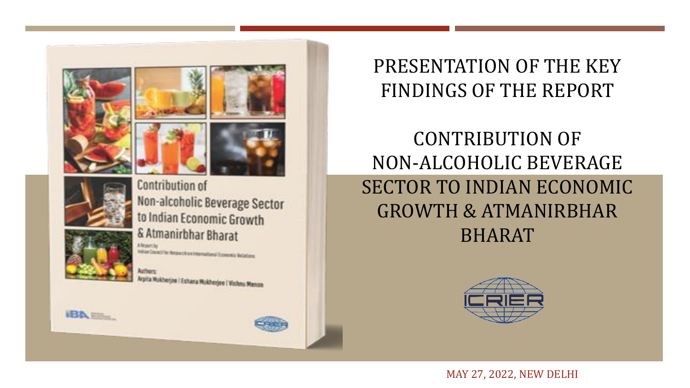



**IBA** Eller

Non-alcoholic Beverage Sector to Indian Economic Growth & Atmanirbhar Bharat

In East Chicacle The Mercury of Art in Hammed Art and Art and Chicago

Arpita Mukherjee | Eshara Mukherjee | Vishnu Menon

# PRESENTATION OF THE KEY FINDINGS OF THE REPORT

# CONTRIBUTION OF NON-ALCOHOLIC BEVERAGE SECTOR TO INDIAN ECONOMIC GROWTH & ATMANIRBHAR BHARAT



MAY 27, 2022, NEW DELHI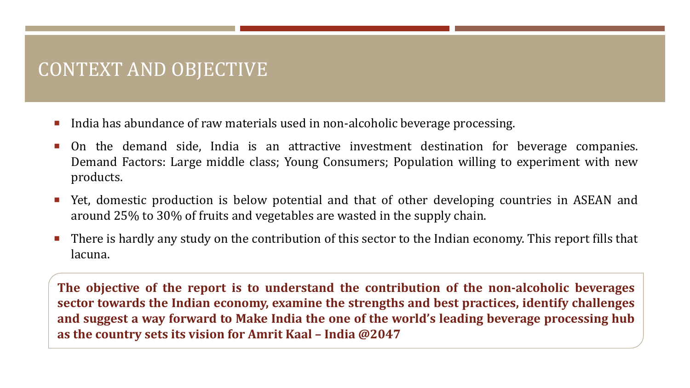# CONTEXT AND OBJECTIVE

- India has abundance of raw materials used in non-alcoholic beverage processing.
- On the demand side, India is an attractive investment destination for beverage companies. Demand Factors: Large middle class; Young Consumers; Population willing to experiment with new products.
- Yet, domestic production is below potential and that of other developing countries in ASEAN and around 25% to 30% of fruits and vegetables are wasted in the supply chain.
- There is hardly any study on the contribution of this sector to the Indian economy. This report fills that lacuna.

**The objective of the report is to understand the contribution of the non-alcoholic beverages sector towards the Indian economy, examine the strengths and best practices, identify challenges and suggest a way forward to Make India the one of the world's leading beverage processing hub as the country sets its vision for Amrit Kaal – India @2047**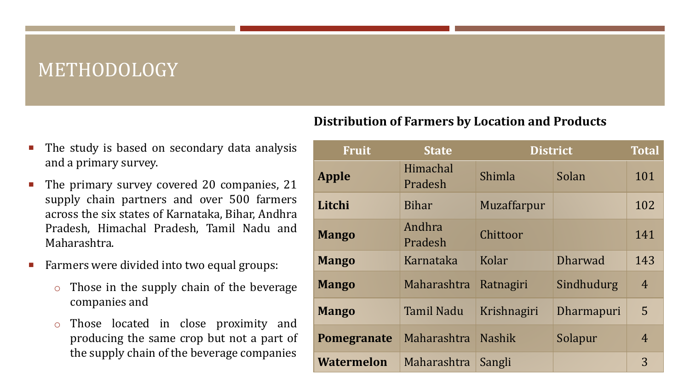### METHODOLOGY

 The study is based on secondary data analysis and a primary survey.

- The primary survey covered 20 companies, 21 supply chain partners and over 500 farmers across the six states of Karnataka, Bihar, Andhra Pradesh, Himachal Pradesh, Tamil Nadu and Maharashtra.
- Farmers were divided into two equal groups:
	- o Those in the supply chain of the beverage companies and
	- o Those located in close proximity and producing the same crop but not a part of the supply chain of the beverage companies

#### **Distribution of Farmers by Location and Products**

| <b>Fruit</b>      | <b>State</b>        | <b>District</b> |                   | <b>Total</b>   |
|-------------------|---------------------|-----------------|-------------------|----------------|
| <b>Apple</b>      | Himachal<br>Pradesh | Shimla          | Solan             | 101            |
| Litchi            | Bihar               | Muzaffarpur     |                   | 102            |
| <b>Mango</b>      | Andhra<br>Pradesh   | Chittoor        |                   | 141            |
| <b>Mango</b>      | Karnataka           | Kolar           | <b>Dharwad</b>    | 143            |
| <b>Mango</b>      | Maharashtra         | Ratnagiri       | Sindhudurg        | $\overline{4}$ |
| <b>Mango</b>      | <b>Tamil Nadu</b>   | Krishnagiri     | <b>Dharmapuri</b> | 5              |
| Pomegranate       | Maharashtra         | <b>Nashik</b>   | Solapur           | $\overline{4}$ |
| <b>Watermelon</b> | Maharashtra         | Sangli          |                   | 3              |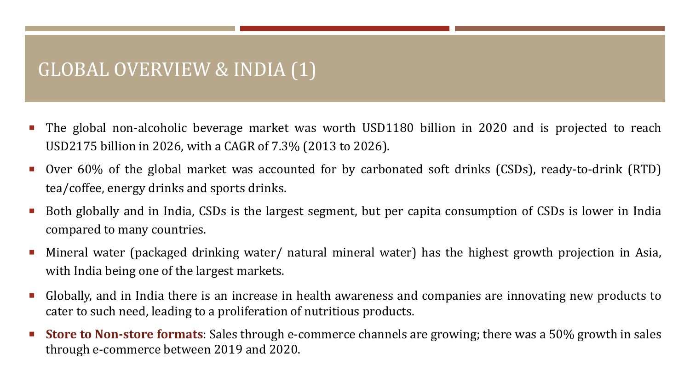### GLOBAL OVERVIEW & INDIA (1)

- The global non-alcoholic beverage market was worth USD1180 billion in 2020 and is projected to reach USD2175 billion in 2026, with a CAGR of 7.3% (2013 to 2026).
- Over 60% of the global market was accounted for by carbonated soft drinks (CSDs), ready-to-drink (RTD) tea/coffee, energy drinks and sports drinks.
- Both globally and in India, CSDs is the largest segment, but per capita consumption of CSDs is lower in India compared to many countries.
- Mineral water (packaged drinking water/ natural mineral water) has the highest growth projection in Asia, with India being one of the largest markets.
- Globally, and in India there is an increase in health awareness and companies are innovating new products to cater to such need, leading to a proliferation of nutritious products.
- **Store to Non-store formats**: Sales through e-commerce channels are growing; there was a 50% growth in sales through e-commerce between 2019 and 2020.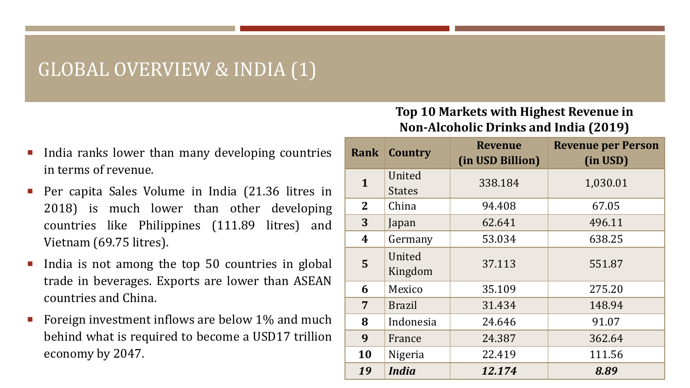### GLOBAL OVERVIEW & INDIA (1)

- India ranks lower than many developing countries in terms of revenue.
- Per capita Sales Volume in India (21.36 litres in 2018) is much lower than other developing countries like Philippines (111.89 litres) and Vietnam (69.75 litres).
- India is not among the top 50 countries in global trade in beverages. Exports are lower than ASEAN countries and China.
- Foreign investment inflows are below 1% and much behind what is required to become a USD17 trillion economy by 2047.

#### **Top 10 Markets with Highest Revenue in Non-Alcoholic Drinks and India (2019)**

| <b>Rank</b>    | Country       | <b>Revenue</b><br>(in USD Billion) | <b>Revenue per Person</b><br>(in USD) |
|----------------|---------------|------------------------------------|---------------------------------------|
| $\mathbf{1}$   | United        | 338.184                            | 1,030.01                              |
|                | <b>States</b> |                                    |                                       |
| $\overline{2}$ | China         | 94.408                             | 67.05                                 |
| 3              | Japan         | 62.641                             | 496.11                                |
| 4              | Germany       | 53.034                             | 638.25                                |
| 5              | United        |                                    |                                       |
|                | Kingdom       | 37.113                             | 551.87                                |
| 6              | Mexico        | 35.109                             | 275.20                                |
| 7              | <b>Brazil</b> | 31.434                             | 148.94                                |
| 8              | Indonesia     | 24.646                             | 91.07                                 |
| 9              | France        | 24.387                             | 362.64                                |
| 10             | Nigeria       | 22.419                             | 111.56                                |
| 19             | <i>India</i>  | 12.174                             | 8.89                                  |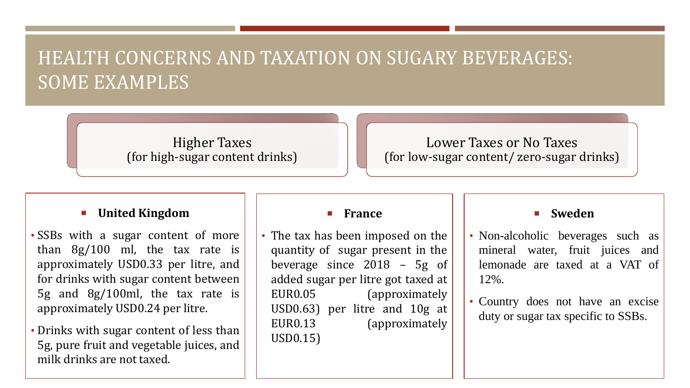# HEALTH CONCERNS AND TAXATION ON SUGARY BEVERAGES: SOME EXAMPLES

Higher Taxes (for high-sugar content drinks)

#### Lower Taxes or No Taxes (for low-sugar content/ zero-sugar drinks)

#### **United Kingdom**

• SSBs with a sugar content of more than 8g/100 ml, the tax rate is approximately USD0.33 per litre, and for drinks with sugar content between 5g and 8g/100ml, the tax rate is approximately USD0.24 per litre.

• Drinks with sugar content of less than 5g, pure fruit and vegetable juices, and milk drinks are not taxed.

#### **France**

• The tax has been imposed on the quantity of sugar present in the beverage since 2018 – 5g of added sugar per litre got taxed at EUR0.05 (approximately USD0.63) per litre and 10g at EUR0.13 (approximately USD0.15)

#### **Sweden**

- Non-alcoholic beverages such as mineral water, fruit juices and lemonade are taxed at a VAT of 12%.
- Country does not have an excise duty or sugar tax specific to SSBs.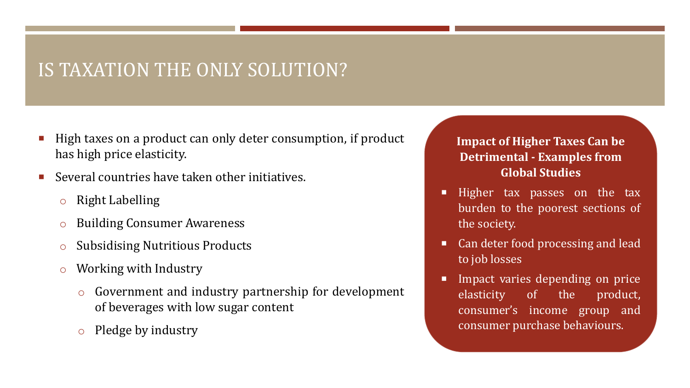# IS TAXATION THE ONLY SOLUTION?

- High taxes on a product can only deter consumption, if product has high price elasticity.
- Several countries have taken other initiatives.
	- o Right Labelling
	- o Building Consumer Awareness
	- o Subsidising Nutritious Products
	- o Working with Industry
		- o Government and industry partnership for development of beverages with low sugar content
		- o Pledge by industry

#### **Impact of Higher Taxes Can be Detrimental - Examples from Global Studies**

- Higher tax passes on the tax burden to the poorest sections of the society.
- Can deter food processing and lead to job losses
- Impact varies depending on price elasticity of the product, consumer's income group and consumer purchase behaviours.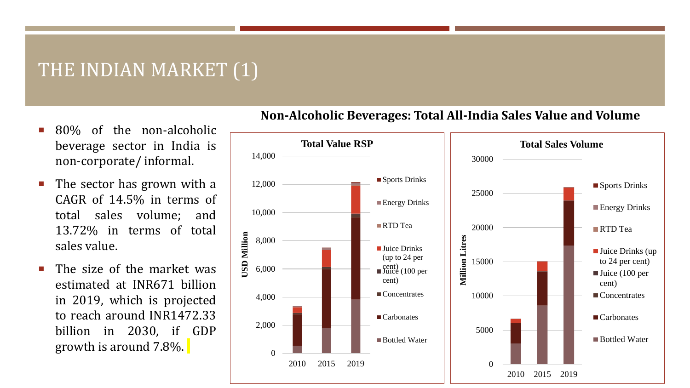### THE INDIAN MARKET (1)

- 80% of the non-alcoholic beverage sector in India is non-corporate/ informal.
- The sector has grown with a CAGR of 14.5% in terms of total sales volume; and 13.72% in terms of total sales value.
- The size of the market was estimated at INR671 billion in 2019, which is projected to reach around INR1472.33 billion in 2030, if GDP growth is around 7.8%.



#### **Non-Alcoholic Beverages: Total All-India Sales Value and Volume**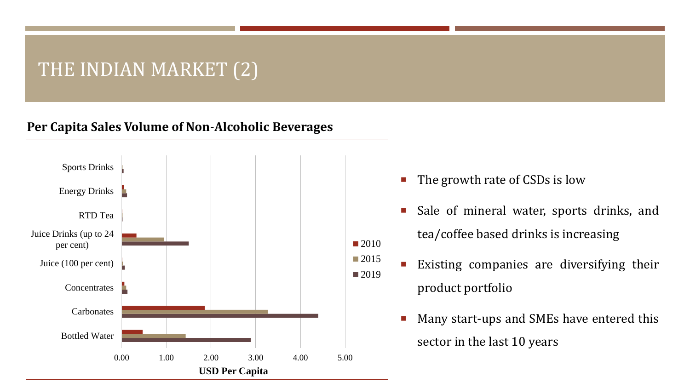### THE INDIAN MARKET (2)

#### **Per Capita Sales Volume of Non-Alcoholic Beverages**



- The growth rate of CSDs is low
- **Sale of mineral water, sports drinks, and** tea/coffee based drinks is increasing
- **Existing companies are diversifying their** product portfolio
	- **Many start-ups and SMEs have entered this** sector in the last 10 years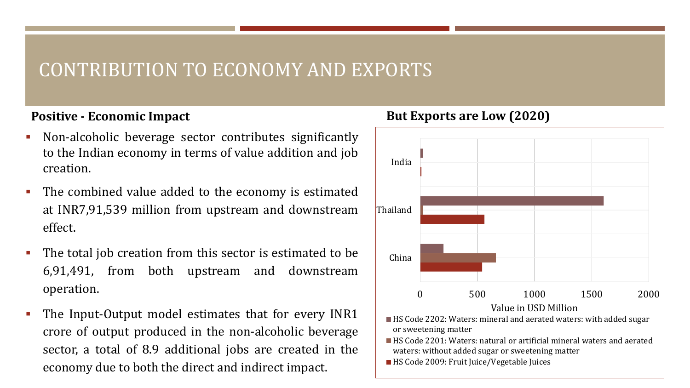### CONTRIBUTION TO ECONOMY AND EXPORTS

#### **Positive - Economic Impact**

- Non-alcoholic beverage sector contributes significantly to the Indian economy in terms of value addition and job creation.
- The combined value added to the economy is estimated at INR7,91,539 million from upstream and downstream effect.
- The total job creation from this sector is estimated to be 6,91,491, from both upstream and downstream operation.
- The Input-Output model estimates that for every INR1 crore of output produced in the non-alcoholic beverage sector, a total of 8.9 additional jobs are created in the economy due to both the direct and indirect impact.



#### **But Exports are Low (2020)**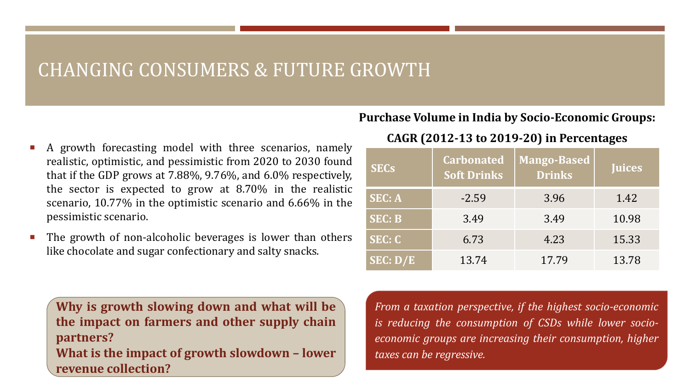### CHANGING CONSUMERS & FUTURE GROWTH

- A growth forecasting model with three scenarios, namely realistic, optimistic, and pessimistic from 2020 to 2030 found that if the GDP grows at 7.88%, 9.76%, and 6.0% respectively, the sector is expected to grow at 8.70% in the realistic scenario, 10.77% in the optimistic scenario and 6.66% in the pessimistic scenario.
- The growth of non-alcoholic beverages is lower than others like chocolate and sugar confectionary and salty snacks.

**Why is growth slowing down and what will be the impact on farmers and other supply chain partners? What is the impact of growth slowdown – lower**

**revenue collection?**

#### **Purchase Volume in India by Socio-Economic Groups:**

#### **CAGR (2012-13 to 2019-20) in Percentages**

| <b>SECs</b>   | <b>Carbonated</b><br><b>Soft Drinks</b> | <b>Mango-Based</b><br><b>Drinks</b> | <b>Juices</b> |
|---------------|-----------------------------------------|-------------------------------------|---------------|
| <b>SEC: A</b> | $-2.59$                                 | 3.96                                | 1.42          |
| <b>SEC: B</b> | 3.49                                    | 3.49                                | 10.98         |
| <b>SEC: C</b> | 6.73                                    | 4.23                                | 15.33         |
| SEC: D/E      | 13.74                                   | 17.79                               | 13.78         |

*From a taxation perspective, if the highest socio-economic is reducing the consumption of CSDs while lower socioeconomic groups are increasing their consumption, higher taxes can be regressive.*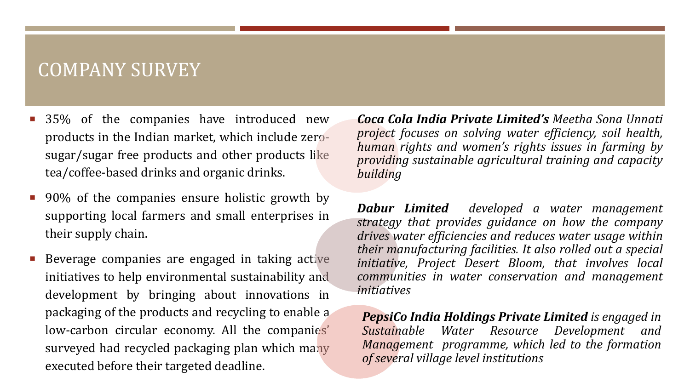### COMPANY SURVEY

- 35% of the companies have introduced new products in the Indian market, which include zerosugar/sugar free products and other products like tea/coffee-based drinks and organic drinks.
- 90% of the companies ensure holistic growth by supporting local farmers and small enterprises in their supply chain.
- Beverage companies are engaged in taking active initiatives to help environmental sustainability and development by bringing about innovations in packaging of the products and recycling to enable a low-carbon circular economy. All the companies' surveyed had recycled packaging plan which many executed before their targeted deadline.

*Coca Cola India Private Limited's Meetha Sona Unnati project focuses on solving water efficiency, soil health, human rights and women's rights issues in farming by providing sustainable agricultural training and capacity building*

*Dabur Limited developed a water management strategy that provides guidance on how the company drives water efficiencies and reduces water usage within their manufacturing facilities. It also rolled out a special initiative, Project Desert Bloom, that involves local communities in water conservation and management initiatives*

*PepsiCo India Holdings Private Limited is engaged in Sustainable Water Resource Development and Management programme, which led to the formation of several village level institutions*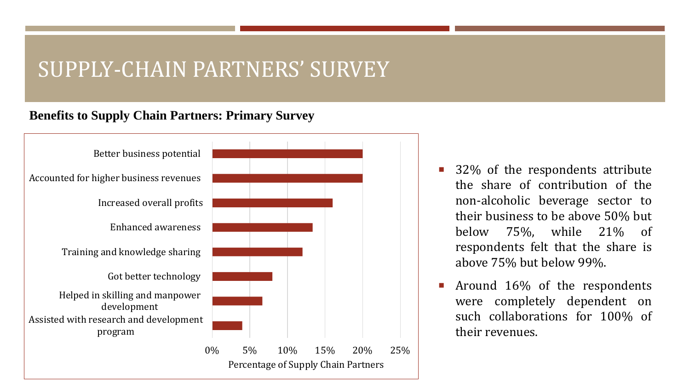# SUPPLY-CHAIN PARTNERS' SURVEY

#### **Benefits to Supply Chain Partners: Primary Survey**



- 32% of the respondents attribute the share of contribution of the non-alcoholic beverage sector to their business to be above 50% but below 75%, while 21% of respondents felt that the share is above 75% but below 99%.
- Around 16% of the respondents were completely dependent on such collaborations for 100% of their revenues.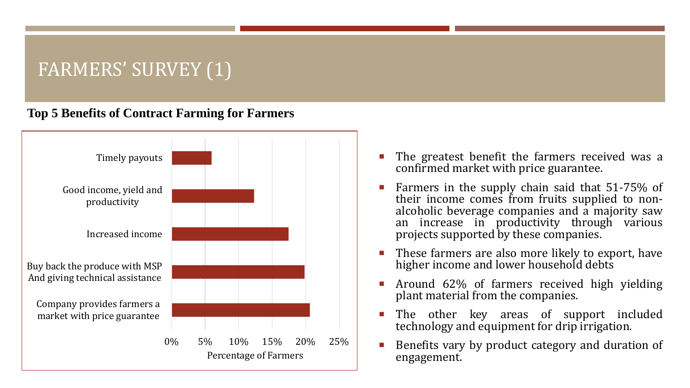# FARMERS' SURVEY (1)

#### **Top 5 Benefits of Contract Farming for Farmers**



- The greatest benefit the farmers received was a confirmed market with price guarantee.
- Farmers in the supply chain said that 51-75% of their income comes from fruits supplied to nonalcoholic beverage companies and a majority saw an increase in productivity through various projects supported by these companies.
- **These farmers are also more likely to export, have** higher income and lower household debts
- **Around 62% of farmers received high yielding** plant material from the companies.
- **The other key areas of support included** technology and equipment for drip irrigation.
- Benefits vary by product category and duration of engagement.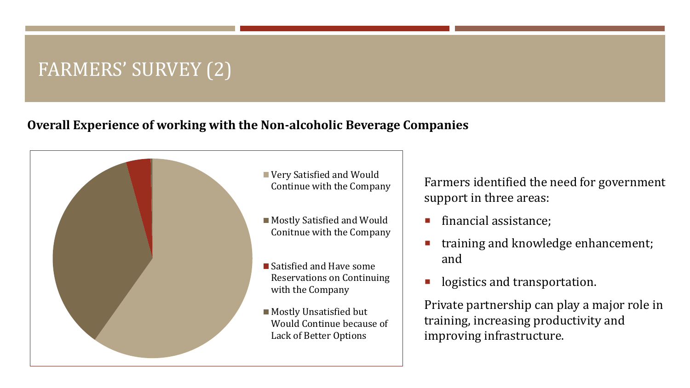# FARMERS' SURVEY (2)

#### **Overall Experience of working with the Non-alcoholic Beverage Companies**



Farmers identified the need for government support in three areas:

- financial assistance;
- training and knowledge enhancement; and
- **I** logistics and transportation.

Private partnership can play a major role in training, increasing productivity and improving infrastructure.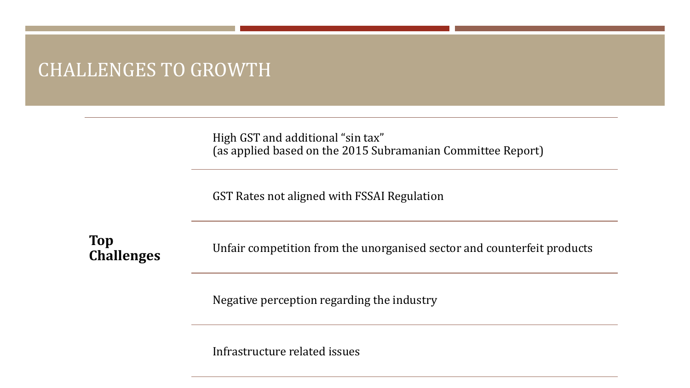### CHALLENGES TO GROWTH

High GST and additional "sin tax" (as applied based on the 2015 Subramanian Committee Report)

GST Rates not aligned with FSSAI Regulation

**Top Challenges**

Unfair competition from the unorganised sector and counterfeit products

Negative perception regarding the industry

Infrastructure related issues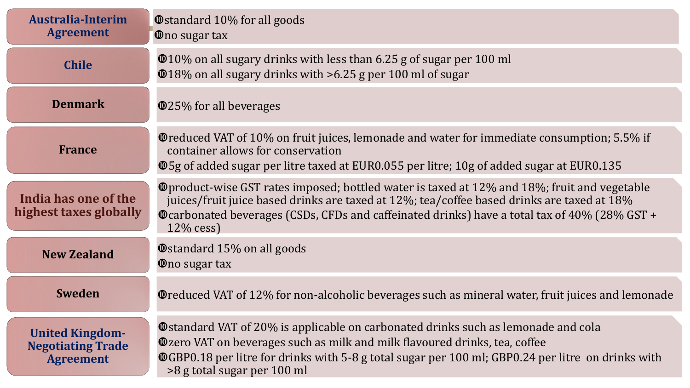| <b>Australia-Interim</b><br><b>Agreement</b>                           | <b>Ostandard 10% for all goods</b><br><b>Ono sugar tax</b>                                                                                                                                                                                                                                                                |
|------------------------------------------------------------------------|---------------------------------------------------------------------------------------------------------------------------------------------------------------------------------------------------------------------------------------------------------------------------------------------------------------------------|
| <b>Chile</b>                                                           | <b>@10%</b> on all sugary drinks with less than 6.25 g of sugar per 100 ml<br>$\Phi$ 18% on all sugary drinks with >6.25 g per 100 ml of sugar                                                                                                                                                                            |
| <b>Denmark</b>                                                         | <b>@25% for all beverages</b>                                                                                                                                                                                                                                                                                             |
| <b>France</b>                                                          | <b>O</b> reduced VAT of 10% on fruit juices, lemonade and water for immediate consumption; 5.5% if<br>container allows for conservation<br><b>@5g of added sugar per litre taxed at EUR0.055 per litre; 10g of added sugar at EUR0.135</b>                                                                                |
| India has one of the<br>highest taxes globally                         | <b>O</b> product-wise GST rates imposed; bottled water is taxed at 12% and 18%; fruit and vegetable<br>juices/fruit juice based drinks are taxed at 12%; tea/coffee based drinks are taxed at 18%<br><b>O</b> carbonated beverages (CSDs, CFDs and caffeinated drinks) have a total tax of 40% (28% GST +<br>$12\%$ cess) |
| <b>New Zealand</b>                                                     | <b>Ostandard 15% on all goods</b><br><b>O</b> no sugar tax                                                                                                                                                                                                                                                                |
| <b>Sweden</b>                                                          | <b>O</b> reduced VAT of 12% for non-alcoholic beverages such as mineral water, fruit juices and lemonade                                                                                                                                                                                                                  |
| <b>United Kingdom-</b><br><b>Negotiating Trade</b><br><b>Agreement</b> | <b>Ostandard VAT of 20% is applicable on carbonated drinks such as lemonade and cola</b><br><b>Ozero VAT on beverages such as milk and milk flavoured drinks, tea, coffee</b><br><b>@GBP0.18</b> per litre for drinks with 5-8 g total sugar per 100 ml; GBP0.24 per litre on drinks with<br>>8 g total sugar per 100 ml  |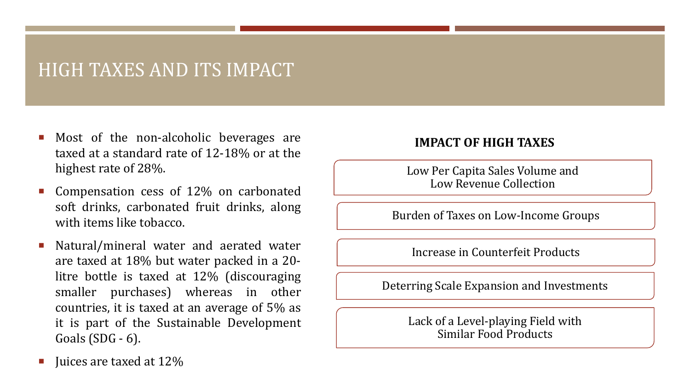### HIGH TAXES AND ITS IMPACT

- Most of the non-alcoholic beverages are taxed at a standard rate of 12-18% or at the highest rate of 28%.
- Compensation cess of 12% on carbonated soft drinks, carbonated fruit drinks, along with items like tobacco.
- Natural/mineral water and aerated water are taxed at 18% but water packed in a 20 litre bottle is taxed at 12% (discouraging smaller purchases) whereas in other countries, it is taxed at an average of 5% as it is part of the Sustainable Development Goals (SDG - 6).

#### **IMPACT OF HIGH TAXES**

Low Per Capita Sales Volume and Low Revenue Collection

Burden of Taxes on Low-Income Groups

Increase in Counterfeit Products

Deterring Scale Expansion and Investments

Lack of a Level-playing Field with Similar Food Products

Juices are taxed at 12%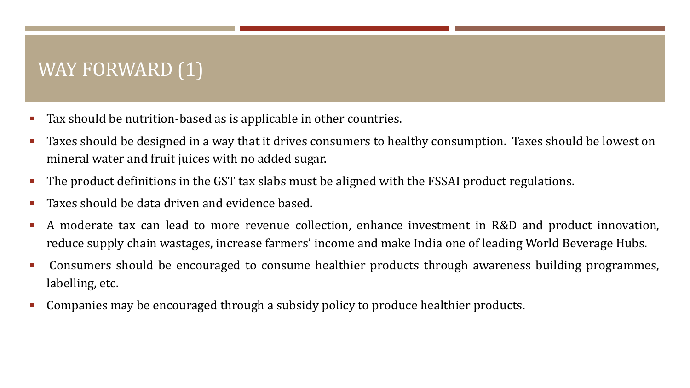# WAY FORWARD  $(1)$

- Tax should be nutrition-based as is applicable in other countries.
- Taxes should be designed in a way that it drives consumers to healthy consumption. Taxes should be lowest on mineral water and fruit juices with no added sugar.
- The product definitions in the GST tax slabs must be aligned with the FSSAI product regulations.
- **Taxes should be data driven and evidence based.**
- A moderate tax can lead to more revenue collection, enhance investment in R&D and product innovation, reduce supply chain wastages, increase farmers' income and make India one of leading World Beverage Hubs.
- Consumers should be encouraged to consume healthier products through awareness building programmes, labelling, etc.
- Companies may be encouraged through a subsidy policy to produce healthier products.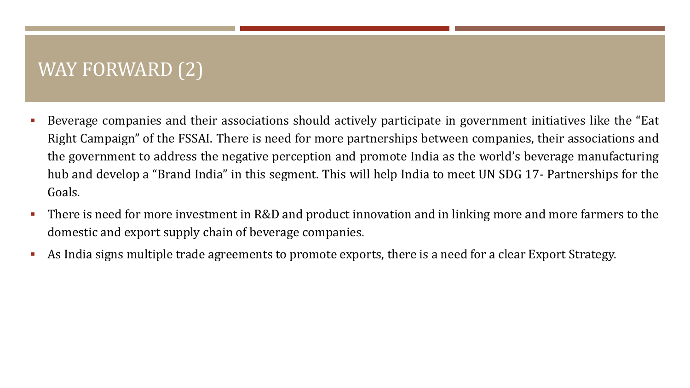# WAY FORWARD (2)

- Beverage companies and their associations should actively participate in government initiatives like the "Eat Right Campaign" of the FSSAI. There is need for more partnerships between companies, their associations and the government to address the negative perception and promote India as the world's beverage manufacturing hub and develop a "Brand India" in this segment. This will help India to meet UN SDG 17- Partnerships for the Goals.
- There is need for more investment in R&D and product innovation and in linking more and more farmers to the domestic and export supply chain of beverage companies.
- As India signs multiple trade agreements to promote exports, there is a need for a clear Export Strategy.